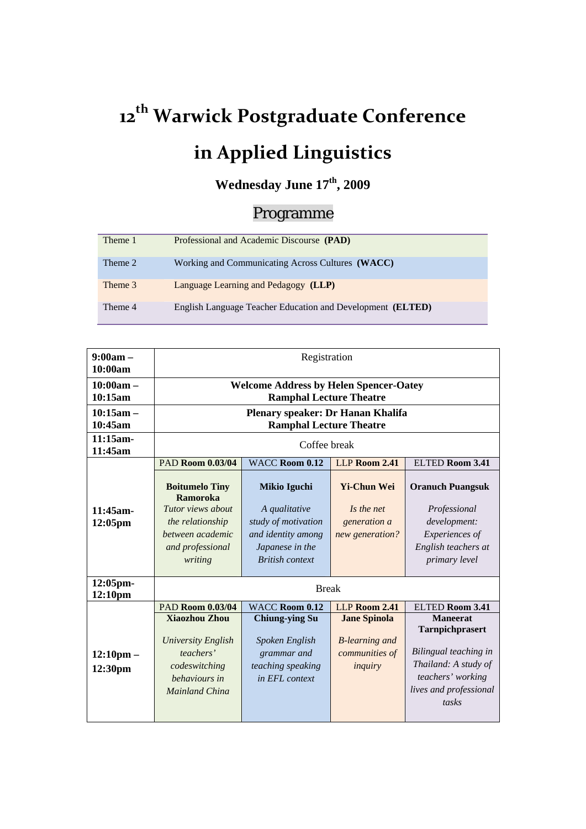## **12 th Warwick Postgraduate Conference in Applied Linguistics**

## Wednesday June  $17<sup>th</sup>$ , 2009

## Programme

| Theme 1 | Professional and Academic Discourse (PAD)                           |
|---------|---------------------------------------------------------------------|
| Theme 2 | Working and Communicating Across Cultures (WACC)                    |
| Theme 3 | Language Learning and Pedagogy (LLP)                                |
| Theme 4 | English Language Teacher Education and Development ( <b>ELTED</b> ) |

| $9:00am -$<br>10:00am              | Registration                                                                                                                  |                                                                                                                                |                                                                            |                                                                                                                                             |  |
|------------------------------------|-------------------------------------------------------------------------------------------------------------------------------|--------------------------------------------------------------------------------------------------------------------------------|----------------------------------------------------------------------------|---------------------------------------------------------------------------------------------------------------------------------------------|--|
| $10:00am -$<br>10:15am             | <b>Welcome Address by Helen Spencer-Oatey</b><br><b>Ramphal Lecture Theatre</b>                                               |                                                                                                                                |                                                                            |                                                                                                                                             |  |
| $10:15am -$<br>10:45am             | Plenary speaker: Dr Hanan Khalifa<br><b>Ramphal Lecture Theatre</b>                                                           |                                                                                                                                |                                                                            |                                                                                                                                             |  |
| 11:15am-<br>11:45am                | Coffee break                                                                                                                  |                                                                                                                                |                                                                            |                                                                                                                                             |  |
|                                    | <b>PAD Room 0.03/04</b>                                                                                                       | <b>WACC Room 0.12</b>                                                                                                          | LLP Room 2.41                                                              | ELTED Room 3.41                                                                                                                             |  |
| $11:45$ am-<br>12:05 <sub>pm</sub> | <b>Boitumelo Tiny</b><br>Ramoroka<br>Tutor views about<br>the relationship<br>between academic<br>and professional<br>writing | <b>Mikio Iguchi</b><br>A qualitative<br>study of motivation<br>and identity among<br>Japanese in the<br><b>British</b> context | <b>Yi-Chun Wei</b><br>Is the net<br>generation a<br>new generation?        | <b>Oranuch Puangsuk</b><br>Professional<br>development:<br>Experiences of<br>English teachers at<br>primary level                           |  |
| 12:05pm-<br>12:10pm                | <b>Break</b>                                                                                                                  |                                                                                                                                |                                                                            |                                                                                                                                             |  |
|                                    | <b>PAD Room 0.03/04</b>                                                                                                       | <b>WACC Room 0.12</b>                                                                                                          | LLP Room 2.41                                                              | <b>ELTED Room 3.41</b>                                                                                                                      |  |
| $12:10 \text{pm} -$<br>12:30pm     | <b>Xiaozhou Zhou</b><br>University English<br>teachers'<br>codeswitching<br>behaviours in<br>Mainland China                   | <b>Chiung-ying Su</b><br>Spoken English<br>grammar and<br>teaching speaking<br>in EFL context                                  | <b>Jane Spinola</b><br><b>B</b> -learning and<br>communities of<br>inquiry | <b>Maneerat</b><br>Tarnpichprasert<br>Bilingual teaching in<br>Thailand: A study of<br>teachers' working<br>lives and professional<br>tasks |  |